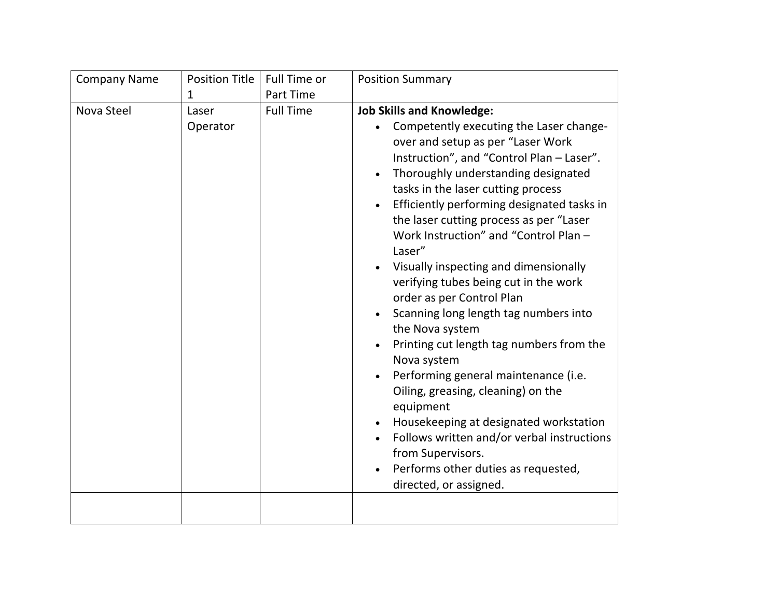| <b>Company Name</b> | <b>Position Title</b> | Full Time or     | <b>Position Summary</b>                                                                                                                                                                                                                                                                                                                                                                                                                                                                                                                                                                                                                                                                                                                                                                                                                                                                               |
|---------------------|-----------------------|------------------|-------------------------------------------------------------------------------------------------------------------------------------------------------------------------------------------------------------------------------------------------------------------------------------------------------------------------------------------------------------------------------------------------------------------------------------------------------------------------------------------------------------------------------------------------------------------------------------------------------------------------------------------------------------------------------------------------------------------------------------------------------------------------------------------------------------------------------------------------------------------------------------------------------|
|                     | $\mathbf{1}$          | Part Time        |                                                                                                                                                                                                                                                                                                                                                                                                                                                                                                                                                                                                                                                                                                                                                                                                                                                                                                       |
| Nova Steel          | Laser<br>Operator     | <b>Full Time</b> | <b>Job Skills and Knowledge:</b><br>Competently executing the Laser change-<br>over and setup as per "Laser Work<br>Instruction", and "Control Plan - Laser".<br>Thoroughly understanding designated<br>tasks in the laser cutting process<br>Efficiently performing designated tasks in<br>the laser cutting process as per "Laser<br>Work Instruction" and "Control Plan -<br>Laser"<br>Visually inspecting and dimensionally<br>verifying tubes being cut in the work<br>order as per Control Plan<br>Scanning long length tag numbers into<br>the Nova system<br>Printing cut length tag numbers from the<br>Nova system<br>Performing general maintenance (i.e.<br>Oiling, greasing, cleaning) on the<br>equipment<br>Housekeeping at designated workstation<br>Follows written and/or verbal instructions<br>from Supervisors.<br>Performs other duties as requested,<br>directed, or assigned. |
|                     |                       |                  |                                                                                                                                                                                                                                                                                                                                                                                                                                                                                                                                                                                                                                                                                                                                                                                                                                                                                                       |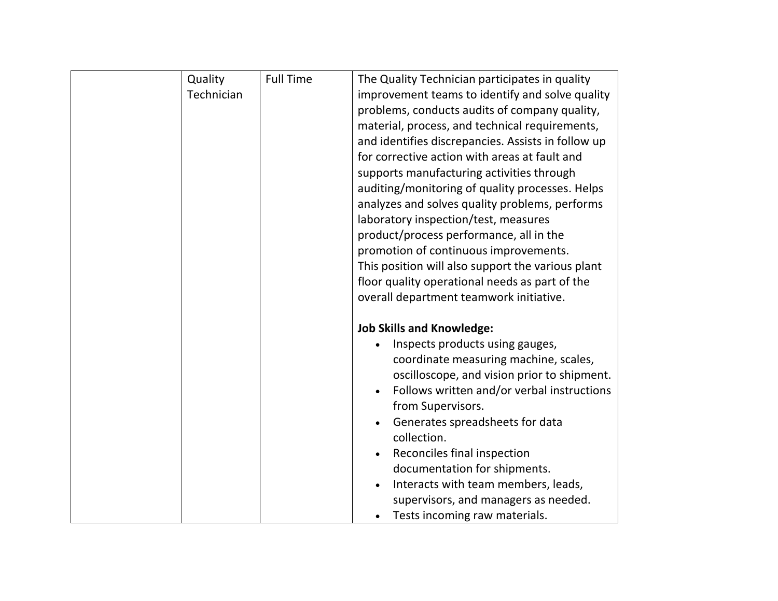| Quality    | <b>Full Time</b> | The Quality Technician participates in quality     |
|------------|------------------|----------------------------------------------------|
| Technician |                  | improvement teams to identify and solve quality    |
|            |                  | problems, conducts audits of company quality,      |
|            |                  | material, process, and technical requirements,     |
|            |                  | and identifies discrepancies. Assists in follow up |
|            |                  | for corrective action with areas at fault and      |
|            |                  | supports manufacturing activities through          |
|            |                  | auditing/monitoring of quality processes. Helps    |
|            |                  | analyzes and solves quality problems, performs     |
|            |                  | laboratory inspection/test, measures               |
|            |                  | product/process performance, all in the            |
|            |                  | promotion of continuous improvements.              |
|            |                  | This position will also support the various plant  |
|            |                  | floor quality operational needs as part of the     |
|            |                  | overall department teamwork initiative.            |
|            |                  |                                                    |
|            |                  | <b>Job Skills and Knowledge:</b>                   |
|            |                  | Inspects products using gauges,                    |
|            |                  | coordinate measuring machine, scales,              |
|            |                  | oscilloscope, and vision prior to shipment.        |
|            |                  | Follows written and/or verbal instructions         |
|            |                  | from Supervisors.                                  |
|            |                  | Generates spreadsheets for data<br>collection.     |
|            |                  | Reconciles final inspection                        |
|            |                  | documentation for shipments.                       |
|            |                  | Interacts with team members, leads,                |
|            |                  | supervisors, and managers as needed.               |
|            |                  | Tests incoming raw materials.                      |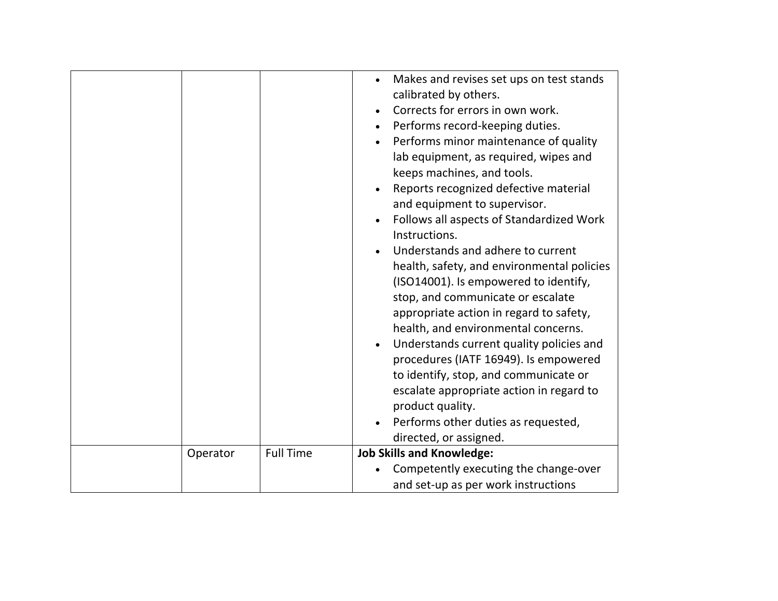|          |                  | Makes and revises set ups on test stands<br>calibrated by others.<br>Corrects for errors in own work.<br>Performs record-keeping duties.<br>Performs minor maintenance of quality<br>lab equipment, as required, wipes and<br>keeps machines, and tools.<br>Reports recognized defective material<br>and equipment to supervisor.<br>Follows all aspects of Standardized Work<br>Instructions.<br>Understands and adhere to current<br>health, safety, and environmental policies<br>(ISO14001). Is empowered to identify,<br>stop, and communicate or escalate<br>appropriate action in regard to safety,<br>health, and environmental concerns.<br>Understands current quality policies and<br>procedures (IATF 16949). Is empowered<br>to identify, stop, and communicate or<br>escalate appropriate action in regard to<br>product quality.<br>Performs other duties as requested,<br>directed, or assigned. |
|----------|------------------|------------------------------------------------------------------------------------------------------------------------------------------------------------------------------------------------------------------------------------------------------------------------------------------------------------------------------------------------------------------------------------------------------------------------------------------------------------------------------------------------------------------------------------------------------------------------------------------------------------------------------------------------------------------------------------------------------------------------------------------------------------------------------------------------------------------------------------------------------------------------------------------------------------------|
| Operator | <b>Full Time</b> | <b>Job Skills and Knowledge:</b>                                                                                                                                                                                                                                                                                                                                                                                                                                                                                                                                                                                                                                                                                                                                                                                                                                                                                 |
|          |                  |                                                                                                                                                                                                                                                                                                                                                                                                                                                                                                                                                                                                                                                                                                                                                                                                                                                                                                                  |
|          |                  | Competently executing the change-over                                                                                                                                                                                                                                                                                                                                                                                                                                                                                                                                                                                                                                                                                                                                                                                                                                                                            |
|          |                  | and set-up as per work instructions                                                                                                                                                                                                                                                                                                                                                                                                                                                                                                                                                                                                                                                                                                                                                                                                                                                                              |